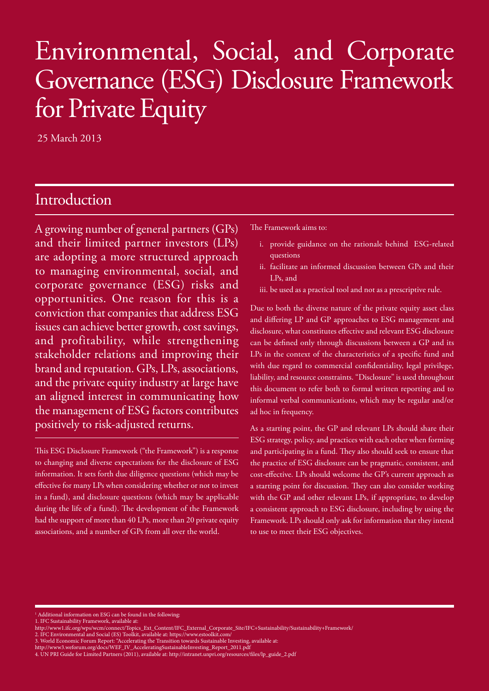# Environmental, Social, and Corporate Governance (ESG) Disclosure Framework for Private Equity

25 March 2013

### Introduction

A growing number of general partners (GPs) and their limited partner investors (LPs) are adopting a more structured approach to managing environmental, social, and corporate governance (ESG) risks and opportunities. One reason for this is a conviction that companies that address ESG issues can achieve better growth, cost savings, and profitability, while strengthening stakeholder relations and improving their brand and reputation. GPs, LPs, associations, and the private equity industry at large have an aligned interest in communicating how the management of ESG factors contributes positively to risk-adjusted returns.

This ESG Disclosure Framework ("the Framework") is a response to changing and diverse expectations for the disclosure of ESG information. It sets forth due diligence questions (which may be effective for many LPs when considering whether or not to invest in a fund), and disclosure questions (which may be applicable during the life of a fund). The development of the Framework had the support of more than 40 LPs, more than 20 private equity associations, and a number of GPs from all over the world.

The Framework aims to:

- i. provide guidance on the rationale behind ESG-related questions
- ii. facilitate an informed discussion between GPs and their LPs, and
- iii. be used as a practical tool and not as a prescriptive rule.

Due to both the diverse nature of the private equity asset class and differing LP and GP approaches to ESG management and disclosure, what constitutes effective and relevant ESG disclosure can be defined only through discussions between a GP and its LPs in the context of the characteristics of a specific fund and with due regard to commercial confidentiality, legal privilege, liability, and resource constraints. "Disclosure" is used throughout this document to refer both to formal written reporting and to informal verbal communications, which may be regular and/or ad hoc in frequency.

As a starting point, the GP and relevant LPs should share their ESG strategy, policy, and practices with each other when forming and participating in a fund. They also should seek to ensure that the practice of ESG disclosure can be pragmatic, consistent, and cost-effective. LPs should welcome the GP's current approach as a starting point for discussion. They can also consider working with the GP and other relevant LPs, if appropriate, to develop a consistent approach to ESG disclosure, including by using the Framework. LPs should only ask for information that they intend to use to meet their ESG objectives.

1 Additional information on ESG can be found in the following:

1. IFC Sustainability Framework, available at:

http://www1.ifc.org/wps/wcm/connect/Topics\_Ext\_Content/IFC\_External\_Corporate\_Site/IFC+Sustainability/Sustainability+Framework/

<sup>2.</sup> IFC Environmental and Social (ES) Toolkit, available at: https://www.estoolkit.com/

<sup>3.</sup> World Economic Forum Report: "Accelerating the Transition towards Sustainable Investing, available at:

http://www3.weforum.org/docs/WEF\_IV\_AcceleratingSustainableInvesting\_Report\_2011.pdf 4. UN PRI Guide for Limited Partners (2011), available at: http://intranet.unpri.org/resources/files/lp\_guide\_2.pdf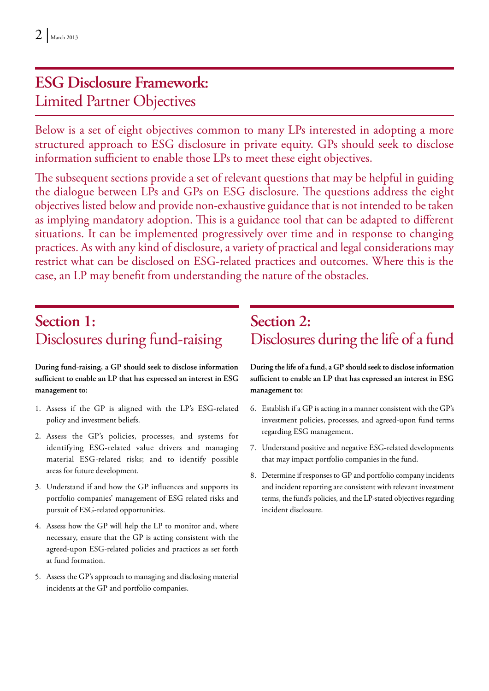# **ESG Disclosure Framework:** Limited Partner Objectives

Below is a set of eight objectives common to many LPs interested in adopting a more structured approach to ESG disclosure in private equity. GPs should seek to disclose information sufficient to enable those LPs to meet these eight objectives.

The subsequent sections provide a set of relevant questions that may be helpful in guiding the dialogue between LPs and GPs on ESG disclosure. The questions address the eight objectives listed below and provide non-exhaustive guidance that is not intended to be taken as implying mandatory adoption. This is a guidance tool that can be adapted to different situations. It can be implemented progressively over time and in response to changing practices. As with any kind of disclosure, a variety of practical and legal considerations may restrict what can be disclosed on ESG-related practices and outcomes. Where this is the case, an LP may benefit from understanding the nature of the obstacles.

## **Section 1:** Disclosures during fund-raising

**During fund-raising, a GP should seek to disclose information sufficient to enable an LP that has expressed an interest in ESG management to:**

- 1. Assess if the GP is aligned with the LP's ESG-related policy and investment beliefs.
- 2. Assess the GP's policies, processes, and systems for identifying ESG-related value drivers and managing material ESG-related risks; and to identify possible areas for future development.
- 3. Understand if and how the GP influences and supports its portfolio companies' management of ESG related risks and pursuit of ESG-related opportunities.
- 4. Assess how the GP will help the LP to monitor and, where necessary, ensure that the GP is acting consistent with the agreed-upon ESG-related policies and practices as set forth at fund formation.
- 5. Assess the GP's approach to managing and disclosing material incidents at the GP and portfolio companies.

## **Section 2:** Disclosures during the life of a fund

**During the life of a fund, a GP should seek to disclose information sufficient to enable an LP that has expressed an interest in ESG management to:**

- 6. Establish if a GP is acting in a manner consistent with the GP's investment policies, processes, and agreed-upon fund terms regarding ESG management.
- 7. Understand positive and negative ESG-related developments that may impact portfolio companies in the fund.
- 8. Determine if responses to GP and portfolio company incidents and incident reporting are consistent with relevant investment terms, the fund's policies, and the LP-stated objectives regarding incident disclosure.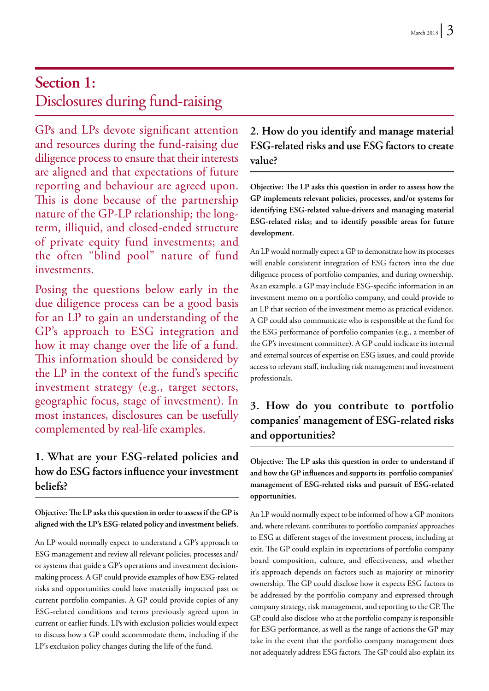## **Section 1:** Disclosures during fund-raising

GPs and LPs devote significant attention and resources during the fund-raising due diligence process to ensure that their interests are aligned and that expectations of future reporting and behaviour are agreed upon. This is done because of the partnership nature of the GP-LP relationship; the longterm, illiquid, and closed-ended structure of private equity fund investments; and the often "blind pool" nature of fund investments.

Posing the questions below early in the due diligence process can be a good basis for an LP to gain an understanding of the GP's approach to ESG integration and how it may change over the life of a fund. This information should be considered by the LP in the context of the fund's specific investment strategy (e.g., target sectors, geographic focus, stage of investment). In most instances, disclosures can be usefully complemented by real-life examples.

#### **1. What are your ESG-related policies and how do ESG factors influence your investment beliefs?**

**Objective: The LP asks this question in order to assess if the GP is aligned with the LP's ESG-related policy and investment beliefs.**

An LP would normally expect to understand a GP's approach to ESG management and review all relevant policies, processes and/ or systems that guide a GP's operations and investment decisionmaking process. A GP could provide examples of how ESG-related risks and opportunities could have materially impacted past or current portfolio companies. A GP could provide copies of any ESG-related conditions and terms previously agreed upon in current or earlier funds. LPs with exclusion policies would expect to discuss how a GP could accommodate them, including if the LP's exclusion policy changes during the life of the fund.

#### **2. How do you identify and manage material ESG-related risks and use ESG factors to create value?**

**Objective: The LP asks this question in order to assess how the GP implements relevant policies, processes, and/or systems for identifying ESG-related value-drivers and managing material ESG-related risks; and to identify possible areas for future development.**

An LP would normally expect a GP to demonstrate how its processes will enable consistent integration of ESG factors into the due diligence process of portfolio companies, and during ownership. As an example, a GP may include ESG-specific information in an investment memo on a portfolio company, and could provide to an LP that section of the investment memo as practical evidence. A GP could also communicate who is responsible at the fund for the ESG performance of portfolio companies (e.g., a member of the GP's investment committee). A GP could indicate its internal and external sources of expertise on ESG issues, and could provide access to relevant staff, including risk management and investment professionals.

#### **3. How do you contribute to portfolio companies' management of ESG-related risks and opportunities?**

**Objective: The LP asks this question in order to understand if and how the GP influences and supports its portfolio companies' management of ESG-related risks and pursuit of ESG-related opportunities.**

An LP would normally expect to be informed of how a GP monitors and, where relevant, contributes to portfolio companies' approaches to ESG at different stages of the investment process, including at exit. The GP could explain its expectations of portfolio company board composition, culture, and effectiveness, and whether it's approach depends on factors such as majority or minority ownership. The GP could disclose how it expects ESG factors to be addressed by the portfolio company and expressed through company strategy, risk management, and reporting to the GP. The GP could also disclose who at the portfolio company is responsible for ESG performance, as well as the range of actions the GP may take in the event that the portfolio company management does not adequately address ESG factors. The GP could also explain its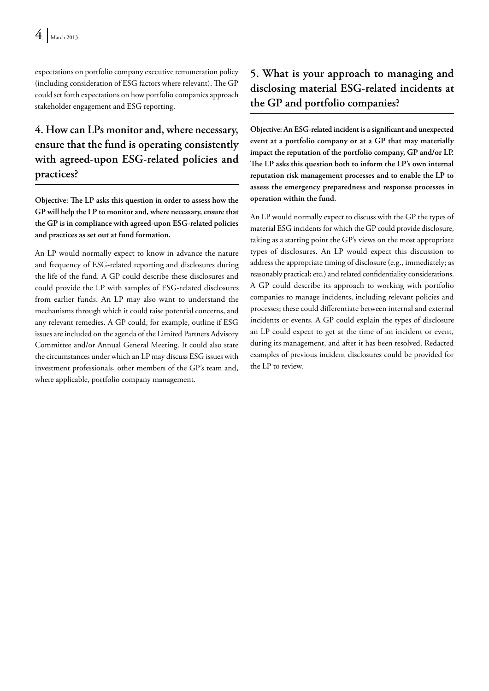expectations on portfolio company executive remuneration policy (including consideration of ESG factors where relevant). The GP could set forth expectations on how portfolio companies approach stakeholder engagement and ESG reporting.

#### **4. How can LPs monitor and, where necessary, ensure that the fund is operating consistently with agreed-upon ESG-related policies and practices?**

**Objective: The LP asks this question in order to assess how the GP will help the LP to monitor and, where necessary, ensure that the GP is in compliance with agreed-upon ESG-related policies and practices as set out at fund formation.** 

An LP would normally expect to know in advance the nature and frequency of ESG-related reporting and disclosures during the life of the fund. A GP could describe these disclosures and could provide the LP with samples of ESG-related disclosures from earlier funds. An LP may also want to understand the mechanisms through which it could raise potential concerns, and any relevant remedies. A GP could, for example, outline if ESG issues are included on the agenda of the Limited Partners Advisory Committee and/or Annual General Meeting. It could also state the circumstances under which an LP may discuss ESG issues with investment professionals, other members of the GP's team and, where applicable, portfolio company management.

#### **5. What is your approach to managing and disclosing material ESG-related incidents at the GP and portfolio companies?**

**Objective: An ESG-related incident is a significant and unexpected event at a portfolio company or at a GP that may materially impact the reputation of the portfolio company, GP and/or LP. The LP asks this question both to inform the LP's own internal reputation risk management processes and to enable the LP to assess the emergency preparedness and response processes in operation within the fund.** 

An LP would normally expect to discuss with the GP the types of material ESG incidents for which the GP could provide disclosure, taking as a starting point the GP's views on the most appropriate types of disclosures. An LP would expect this discussion to address the appropriate timing of disclosure (e.g., immediately; as reasonably practical; etc.) and related confidentiality considerations. A GP could describe its approach to working with portfolio companies to manage incidents, including relevant policies and processes; these could differentiate between internal and external incidents or events. A GP could explain the types of disclosure an LP could expect to get at the time of an incident or event, during its management, and after it has been resolved. Redacted examples of previous incident disclosures could be provided for the LP to review.